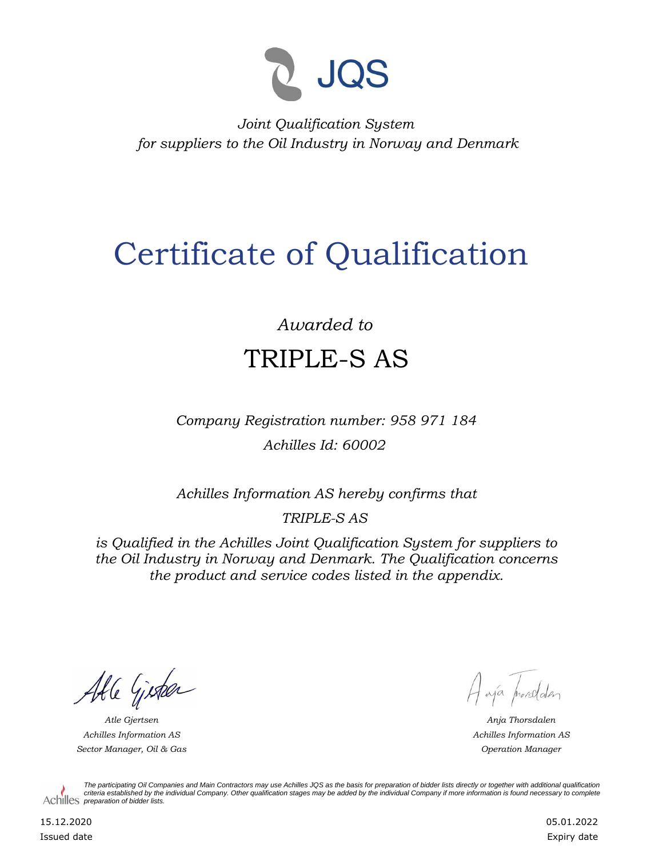

*Joint Qualification System for suppliers to the Oil Industry in Norway and Denmark*

## Certificate of Qualification

## *Awarded to* TRIPLE-S AS

*Company Registration number: 958 971 184 Achilles Id: 60002*

*Achilles Information AS hereby confirms that*

*TRIPLE-S AS*

*is Qualified in the Achilles Joint Qualification System for suppliers to the Oil Industry in Norway and Denmark. The Qualification concerns the product and service codes listed in the appendix.*

Able Gister

*Achilles Information AS Sector Manager, Oil & Gas Operation Manager*

Haya prorodden

*Atle Gjertsen Anja Thorsdalen Achilles Information AS*

*The participating Oil Companies and Main Contractors may use Achilles JQS as the basis for preparation of bidder lists directly or together with additional qualification criteria established by the individual Company. Other qualification stages may be added by the individual Company if more information is found necessary to complete*  Achilles *preparation of bidder lists*.

15.12.2020 Issued date 05.01.2022 Expiry date